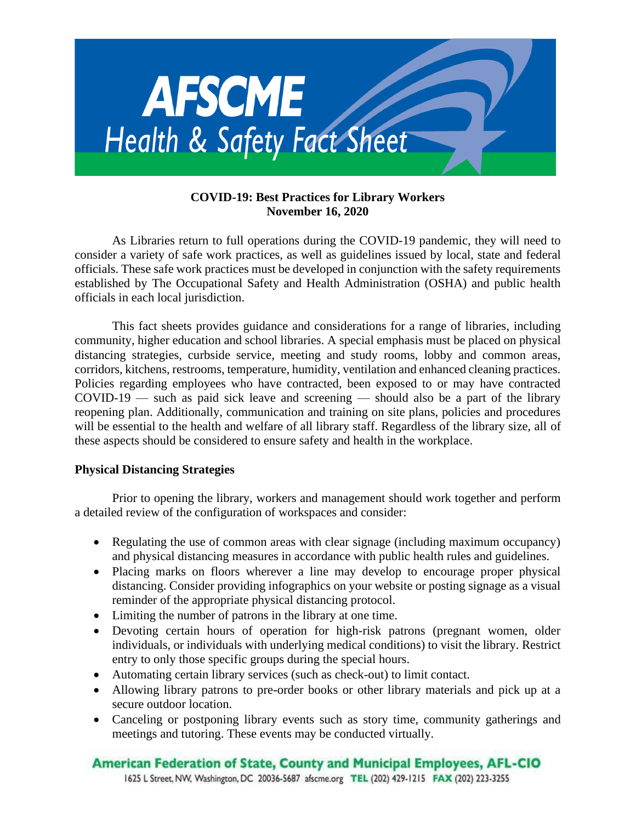

# **COVID-19: Best Practices for Library Workers November 16, 2020**

As Libraries return to full operations during the COVID-19 pandemic, they will need to consider a variety of safe work practices, as well as guidelines issued by local, state and federal officials. These safe work practices must be developed in conjunction with the safety requirements established by The Occupational Safety and Health Administration (OSHA) and public health officials in each local jurisdiction.

This fact sheets provides guidance and considerations for a range of libraries, including community, higher education and school libraries. A special emphasis must be placed on physical distancing strategies, curbside service, meeting and study rooms, lobby and common areas, corridors, kitchens, restrooms, temperature, humidity, ventilation and enhanced cleaning practices. Policies regarding employees who have contracted, been exposed to or may have contracted  $\text{COVID-19}$  — such as paid sick leave and screening — should also be a part of the library reopening plan. Additionally, communication and training on site plans, policies and procedures will be essential to the health and welfare of all library staff. Regardless of the library size, all of these aspects should be considered to ensure safety and health in the workplace.

# **Physical Distancing Strategies**

Prior to opening the library, workers and management should work together and perform a detailed review of the configuration of workspaces and consider:

- Regulating the use of common areas with clear signage (including maximum occupancy) and physical distancing measures in accordance with public health rules and guidelines.
- Placing marks on floors wherever a line may develop to encourage proper physical distancing. Consider providing infographics on your website or posting signage as a visual reminder of the appropriate physical distancing protocol.
- Limiting the number of patrons in the library at one time.
- Devoting certain hours of operation for high-risk patrons (pregnant women, older individuals, or individuals with underlying medical conditions) to visit the library. Restrict entry to only those specific groups during the special hours.
- Automating certain library services (such as check-out) to limit contact.
- Allowing library patrons to pre-order books or other library materials and pick up at a secure outdoor location.
- Canceling or postponing library events such as story time, community gatherings and meetings and tutoring. These events may be conducted virtually.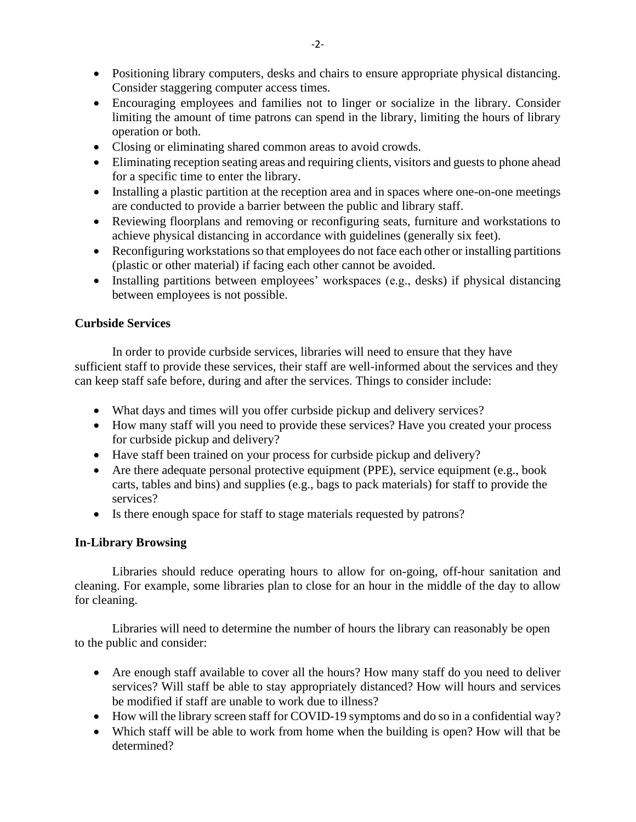- Positioning library computers, desks and chairs to ensure appropriate physical distancing. Consider staggering computer access times.
- Encouraging employees and families not to linger or socialize in the library. Consider limiting the amount of time patrons can spend in the library, limiting the hours of library operation or both.
- Closing or eliminating shared common areas to avoid crowds.
- Eliminating reception seating areas and requiring clients, visitors and guests to phone ahead for a specific time to enter the library.
- Installing a plastic partition at the reception area and in spaces where one-on-one meetings are conducted to provide a barrier between the public and library staff.
- Reviewing floorplans and removing or reconfiguring seats, furniture and workstations to achieve physical distancing in accordance with guidelines (generally six feet).
- Reconfiguring workstations so that employees do not face each other or installing partitions (plastic or other material) if facing each other cannot be avoided.
- Installing partitions between employees' workspaces (e.g., desks) if physical distancing between employees is not possible.

# **Curbside Services**

In order to provide curbside services, libraries will need to ensure that they have sufficient staff to provide these services, their staff are well-informed about the services and they can keep staff safe before, during and after the services. Things to consider include:

- What days and times will you offer curbside pickup and delivery services?
- How many staff will you need to provide these services? Have you created your process for curbside pickup and delivery?
- Have staff been trained on your process for curbside pickup and delivery?
- Are there adequate personal protective equipment (PPE), service equipment (e.g., book carts, tables and bins) and supplies (e.g., bags to pack materials) for staff to provide the services?
- Is there enough space for staff to stage materials requested by patrons?

# **In-Library Browsing**

Libraries should reduce operating hours to allow for on-going, off-hour sanitation and cleaning. For example, some libraries plan to close for an hour in the middle of the day to allow for cleaning.

Libraries will need to determine the number of hours the library can reasonably be open to the public and consider:

- Are enough staff available to cover all the hours? How many staff do you need to deliver services? Will staff be able to stay appropriately distanced? How will hours and services be modified if staff are unable to work due to illness?
- How will the library screen staff for COVID-19 symptoms and do so in a confidential way?
- Which staff will be able to work from home when the building is open? How will that be determined?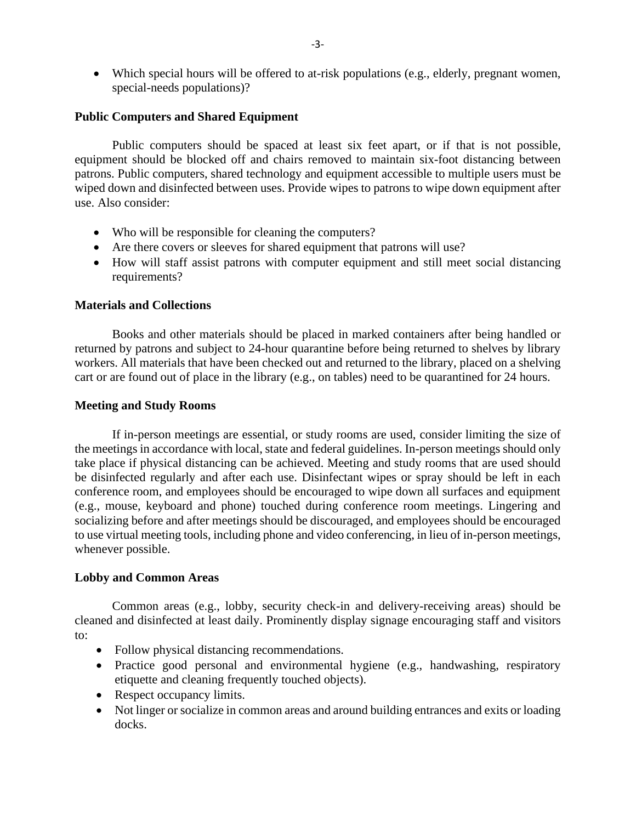• Which special hours will be offered to at-risk populations (e.g., elderly, pregnant women, special-needs populations)?

#### **Public Computers and Shared Equipment**

Public computers should be spaced at least six feet apart, or if that is not possible, equipment should be blocked off and chairs removed to maintain six-foot distancing between patrons. Public computers, shared technology and equipment accessible to multiple users must be wiped down and disinfected between uses. Provide wipes to patrons to wipe down equipment after use. Also consider:

- Who will be responsible for cleaning the computers?
- Are there covers or sleeves for shared equipment that patrons will use?
- How will staff assist patrons with computer equipment and still meet social distancing requirements?

#### **Materials and Collections**

Books and other materials should be placed in marked containers after being handled or returned by patrons and subject to 24-hour quarantine before being returned to shelves by library workers. All materials that have been checked out and returned to the library, placed on a shelving cart or are found out of place in the library (e.g., on tables) need to be quarantined for 24 hours.

#### **Meeting and Study Rooms**

If in-person meetings are essential, or study rooms are used, consider limiting the size of the meetings in accordance with local, state and federal guidelines. In-person meetings should only take place if physical distancing can be achieved. Meeting and study rooms that are used should be disinfected regularly and after each use. Disinfectant wipes or spray should be left in each conference room, and employees should be encouraged to wipe down all surfaces and equipment (e.g., mouse, keyboard and phone) touched during conference room meetings. Lingering and socializing before and after meetings should be discouraged, and employees should be encouraged to use virtual meeting tools, including phone and video conferencing, in lieu of in-person meetings, whenever possible.

# **Lobby and Common Areas**

Common areas (e.g., lobby, security check-in and delivery-receiving areas) should be cleaned and disinfected at least daily. Prominently display signage encouraging staff and visitors to:

- Follow physical distancing recommendations.
- Practice good personal and environmental hygiene (e.g., handwashing, respiratory etiquette and cleaning frequently touched objects).
- Respect occupancy limits.
- Not linger or socialize in common areas and around building entrances and exits or loading docks.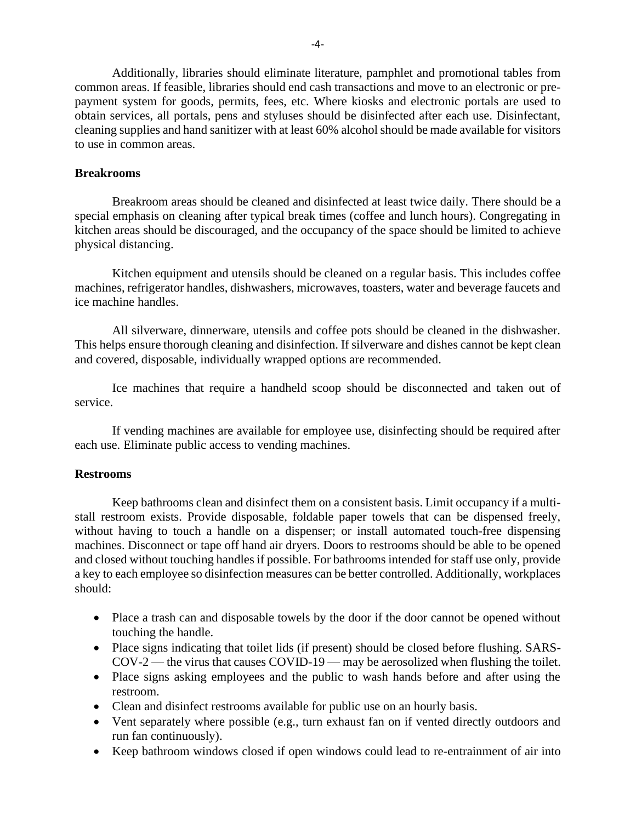Additionally, libraries should eliminate literature, pamphlet and promotional tables from common areas. If feasible, libraries should end cash transactions and move to an electronic or prepayment system for goods, permits, fees, etc. Where kiosks and electronic portals are used to obtain services, all portals, pens and styluses should be disinfected after each use. Disinfectant, cleaning supplies and hand sanitizer with at least 60% alcohol should be made available for visitors to use in common areas.

### **Breakrooms**

Breakroom areas should be cleaned and disinfected at least twice daily. There should be a special emphasis on cleaning after typical break times (coffee and lunch hours). Congregating in kitchen areas should be discouraged, and the occupancy of the space should be limited to achieve physical distancing.

Kitchen equipment and utensils should be cleaned on a regular basis. This includes coffee machines, refrigerator handles, dishwashers, microwaves, toasters, water and beverage faucets and ice machine handles.

All silverware, dinnerware, utensils and coffee pots should be cleaned in the dishwasher. This helps ensure thorough cleaning and disinfection. If silverware and dishes cannot be kept clean and covered, disposable, individually wrapped options are recommended.

Ice machines that require a handheld scoop should be disconnected and taken out of service.

If vending machines are available for employee use, disinfecting should be required after each use. Eliminate public access to vending machines.

# **Restrooms**

Keep bathrooms clean and disinfect them on a consistent basis. Limit occupancy if a multistall restroom exists. Provide disposable, foldable paper towels that can be dispensed freely, without having to touch a handle on a dispenser; or install automated touch-free dispensing machines. Disconnect or tape off hand air dryers. Doors to restrooms should be able to be opened and closed without touching handles if possible. For bathrooms intended for staff use only, provide a key to each employee so disinfection measures can be better controlled. Additionally, workplaces should:

- Place a trash can and disposable towels by the door if the door cannot be opened without touching the handle.
- Place signs indicating that toilet lids (if present) should be closed before flushing. SARS-COV-2 — the virus that causes COVID-19 — may be aerosolized when flushing the toilet.
- Place signs asking employees and the public to wash hands before and after using the restroom.
- Clean and disinfect restrooms available for public use on an hourly basis.
- Vent separately where possible (e.g., turn exhaust fan on if vented directly outdoors and run fan continuously).
- Keep bathroom windows closed if open windows could lead to re-entrainment of air into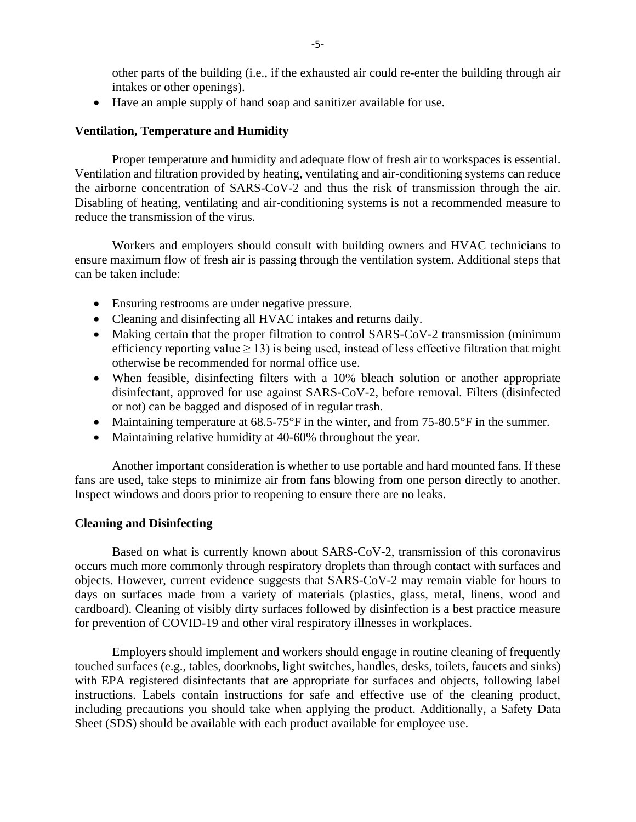other parts of the building (i.e., if the exhausted air could re-enter the building through air intakes or other openings).

• Have an ample supply of hand soap and sanitizer available for use.

### **Ventilation, Temperature and Humidity**

Proper temperature and humidity and adequate flow of fresh air to workspaces is essential. Ventilation and filtration provided by heating, ventilating and air-conditioning systems can reduce the airborne concentration of SARS-CoV-2 and thus the risk of transmission through the air. Disabling of heating, ventilating and air-conditioning systems is not a recommended measure to reduce the transmission of the virus.

Workers and employers should consult with building owners and HVAC technicians to ensure maximum flow of fresh air is passing through the ventilation system. Additional steps that can be taken include:

- Ensuring restrooms are under negative pressure.
- Cleaning and disinfecting all HVAC intakes and returns daily.
- Making certain that the proper filtration to control SARS-CoV-2 transmission (minimum efficiency reporting value  $\geq$  13) is being used, instead of less effective filtration that might otherwise be recommended for normal office use.
- When feasible, disinfecting filters with a 10% bleach solution or another appropriate disinfectant, approved for use against SARS-CoV-2, before removal. Filters (disinfected or not) can be bagged and disposed of in regular trash.
- Maintaining temperature at 68.5-75°F in the winter, and from 75-80.5°F in the summer.
- Maintaining relative humidity at 40-60% throughout the year.

Another important consideration is whether to use portable and hard mounted fans. If these fans are used, take steps to minimize air from fans blowing from one person directly to another. Inspect windows and doors prior to reopening to ensure there are no leaks.

#### **Cleaning and Disinfecting**

Based on what is currently known about SARS-CoV-2, transmission of this coronavirus occurs much more commonly through respiratory droplets than through contact with surfaces and objects. However, current evidence suggests that SARS-CoV-2 may remain viable for hours to days on surfaces made from a variety of materials (plastics, glass, metal, linens, wood and cardboard). Cleaning of visibly dirty surfaces followed by disinfection is a best practice measure for prevention of COVID-19 and other viral respiratory illnesses in workplaces.

Employers should implement and workers should engage in routine cleaning of frequently touched surfaces (e.g., tables, doorknobs, light switches, handles, desks, toilets, faucets and sinks) with EPA registered disinfectants that are appropriate for surfaces and objects, following label instructions. Labels contain instructions for safe and effective use of the cleaning product, including precautions you should take when applying the product. Additionally, a Safety Data Sheet (SDS) should be available with each product available for employee use.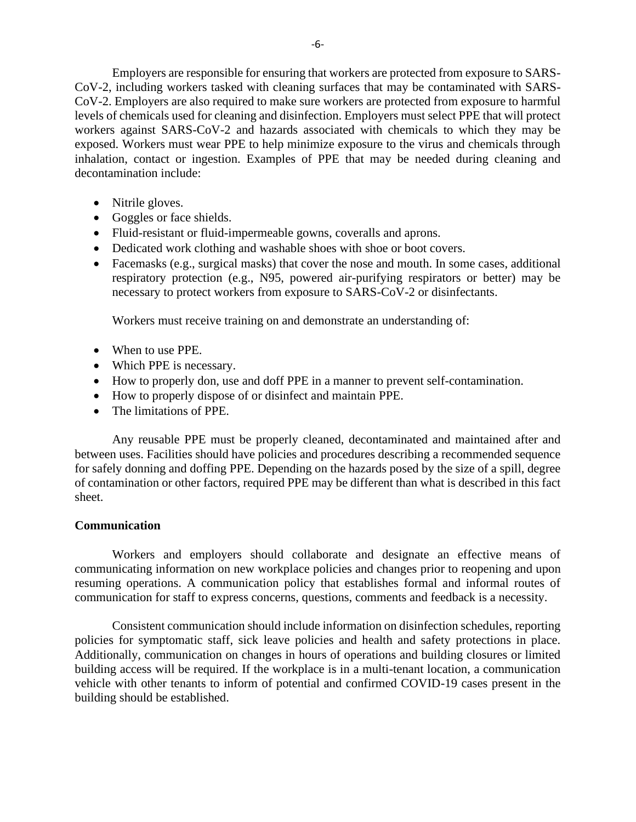Employers are responsible for ensuring that workers are protected from exposure to SARS-CoV-2, including workers tasked with cleaning surfaces that may be contaminated with SARS-CoV-2. Employers are also required to make sure workers are protected from exposure to harmful levels of chemicals used for cleaning and disinfection. Employers must select PPE that will protect workers against SARS-CoV-2 and hazards associated with chemicals to which they may be exposed. Workers must wear PPE to help minimize exposure to the virus and chemicals through inhalation, contact or ingestion. Examples of PPE that may be needed during cleaning and decontamination include:

- Nitrile gloves.
- Goggles or face shields.
- Fluid-resistant or fluid-impermeable gowns, coveralls and aprons.
- Dedicated work clothing and washable shoes with shoe or boot covers.
- Facemasks (e.g., surgical masks) that cover the nose and mouth. In some cases, additional respiratory protection (e.g., N95, powered air-purifying respirators or better) may be necessary to protect workers from exposure to SARS-CoV-2 or disinfectants.

Workers must receive training on and demonstrate an understanding of:

- When to use PPE.
- Which PPE is necessary.
- How to properly don, use and doff PPE in a manner to prevent self-contamination.
- How to properly dispose of or disinfect and maintain PPE.
- The limitations of PPE.

Any reusable PPE must be properly cleaned, decontaminated and maintained after and between uses. Facilities should have policies and procedures describing a recommended sequence for safely donning and doffing PPE. Depending on the hazards posed by the size of a spill, degree of contamination or other factors, required PPE may be different than what is described in this fact sheet.

# **Communication**

Workers and employers should collaborate and designate an effective means of communicating information on new workplace policies and changes prior to reopening and upon resuming operations. A communication policy that establishes formal and informal routes of communication for staff to express concerns, questions, comments and feedback is a necessity.

Consistent communication should include information on disinfection schedules, reporting policies for symptomatic staff, sick leave policies and health and safety protections in place. Additionally, communication on changes in hours of operations and building closures or limited building access will be required. If the workplace is in a multi-tenant location, a communication vehicle with other tenants to inform of potential and confirmed COVID-19 cases present in the building should be established.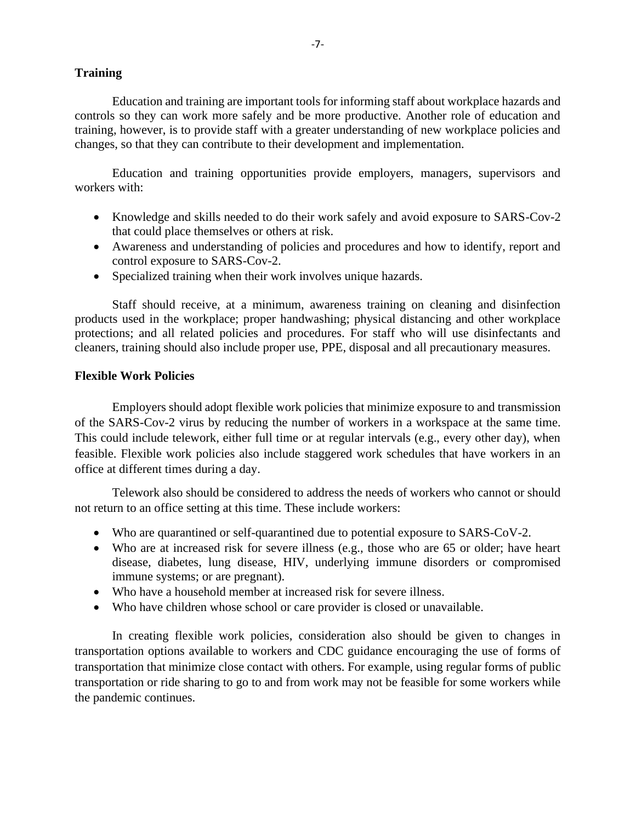# **Training**

Education and training are important tools for informing staff about workplace hazards and controls so they can work more safely and be more productive. Another role of education and training, however, is to provide staff with a greater understanding of new workplace policies and changes, so that they can contribute to their development and implementation.

Education and training opportunities provide employers, managers, supervisors and workers with:

- Knowledge and skills needed to do their work safely and avoid exposure to SARS-Cov-2 that could place themselves or others at risk.
- Awareness and understanding of policies and procedures and how to identify, report and control exposure to SARS-Cov-2.
- Specialized training when their work involves unique hazards.

Staff should receive, at a minimum, awareness training on cleaning and disinfection products used in the workplace; proper handwashing; physical distancing and other workplace protections; and all related policies and procedures. For staff who will use disinfectants and cleaners, training should also include proper use, PPE, disposal and all precautionary measures.

### **Flexible Work Policies**

Employers should adopt flexible work policies that minimize exposure to and transmission of the SARS-Cov-2 virus by reducing the number of workers in a workspace at the same time. This could include telework, either full time or at regular intervals (e.g., every other day), when feasible. Flexible work policies also include staggered work schedules that have workers in an office at different times during a day.

Telework also should be considered to address the needs of workers who cannot or should not return to an office setting at this time. These include workers:

- Who are quarantined or self-quarantined due to potential exposure to SARS-CoV-2.
- Who are at increased risk for severe illness (e.g., those who are 65 or older; have heart disease, diabetes, lung disease, HIV, underlying immune disorders or compromised immune systems; or are pregnant).
- Who have a household member at increased risk for severe illness.
- Who have children whose school or care provider is closed or unavailable.

In creating flexible work policies, consideration also should be given to changes in transportation options available to workers and CDC guidance encouraging the use of forms of transportation that minimize close contact with others. For example, using regular forms of public transportation or ride sharing to go to and from work may not be feasible for some workers while the pandemic continues.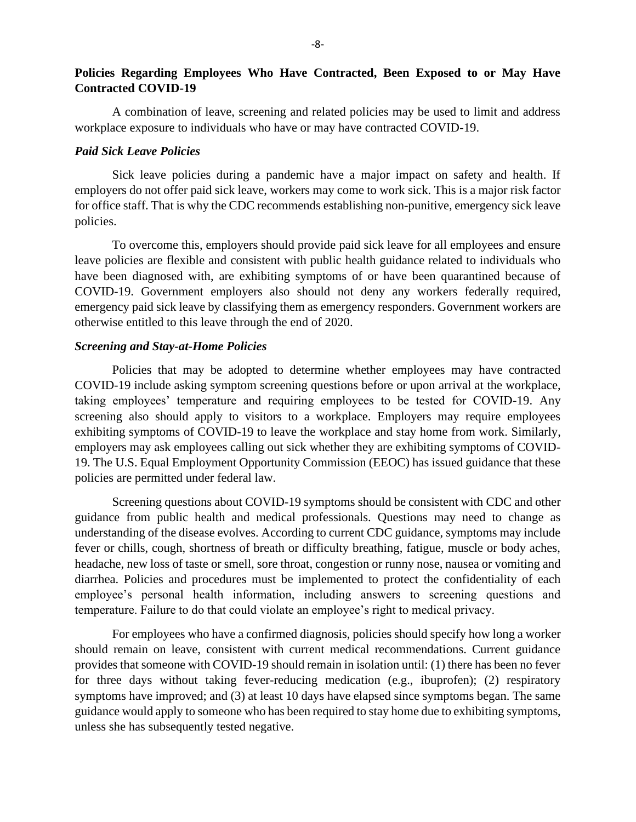# **Policies Regarding Employees Who Have Contracted, Been Exposed to or May Have Contracted COVID-19**

A combination of leave, screening and related policies may be used to limit and address workplace exposure to individuals who have or may have contracted COVID-19.

#### *Paid Sick Leave Policies*

Sick leave policies during a pandemic have a major impact on safety and health. If employers do not offer paid sick leave, workers may come to work sick. This is a major risk factor for office staff. That is why the CDC recommends establishing non-punitive, emergency sick leave policies.

To overcome this, employers should provide paid sick leave for all employees and ensure leave policies are flexible and consistent with public health guidance related to individuals who have been diagnosed with, are exhibiting symptoms of or have been quarantined because of COVID-19. Government employers also should not deny any workers federally required, emergency paid sick leave by classifying them as emergency responders. Government workers are otherwise entitled to this leave through the end of 2020.

#### *Screening and Stay-at-Home Policies*

Policies that may be adopted to determine whether employees may have contracted COVID-19 include asking symptom screening questions before or upon arrival at the workplace, taking employees' temperature and requiring employees to be tested for COVID-19. Any screening also should apply to visitors to a workplace. Employers may require employees exhibiting symptoms of COVID-19 to leave the workplace and stay home from work. Similarly, employers may ask employees calling out sick whether they are exhibiting symptoms of COVID-19. The U.S. Equal Employment Opportunity Commission (EEOC) has issued guidance that these policies are permitted under federal law.

Screening questions about COVID-19 symptoms should be consistent with CDC and other guidance from public health and medical professionals. Questions may need to change as understanding of the disease evolves. According to current CDC guidance, symptoms may include fever or chills, cough, shortness of breath or difficulty breathing, fatigue, muscle or body aches, headache, new loss of taste or smell, sore throat, congestion or runny nose, nausea or vomiting and diarrhea. Policies and procedures must be implemented to protect the confidentiality of each employee's personal health information, including answers to screening questions and temperature. Failure to do that could violate an employee's right to medical privacy.

For employees who have a confirmed diagnosis, policies should specify how long a worker should remain on leave, consistent with current medical recommendations. Current guidance provides that someone with COVID-19 should remain in isolation until: (1) there has been no fever for three days without taking fever-reducing medication (e.g., ibuprofen); (2) respiratory symptoms have improved; and (3) at least 10 days have elapsed since symptoms began. The same guidance would apply to someone who has been required to stay home due to exhibiting symptoms, unless she has subsequently tested negative.